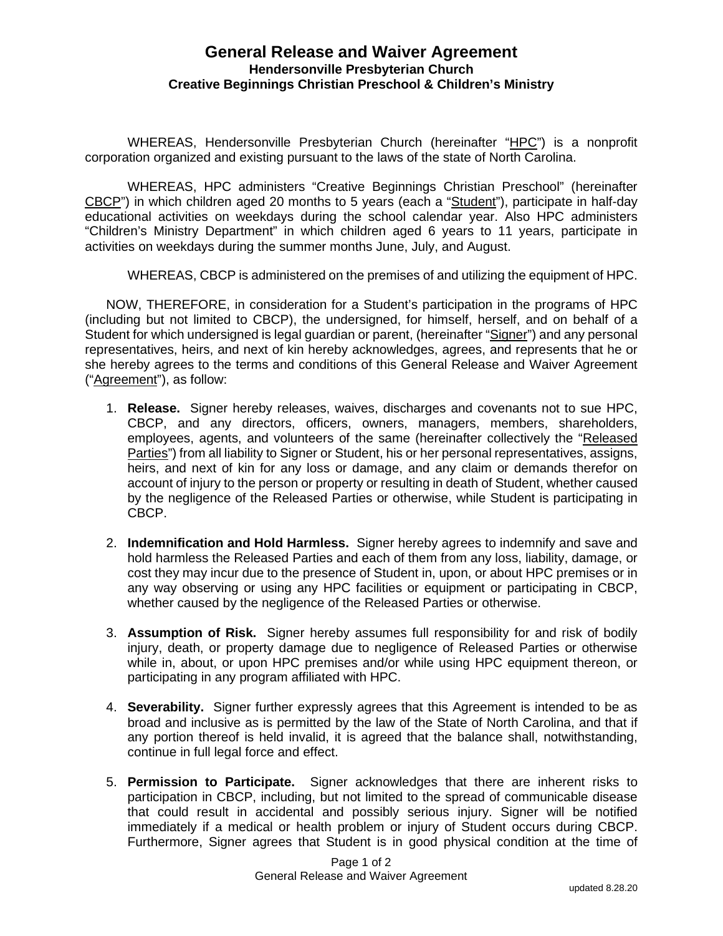## **General Release and Waiver Agreement Hendersonville Presbyterian Church Creative Beginnings Christian Preschool & Children's Ministry**

WHEREAS, Hendersonville Presbyterian Church (hereinafter "HPC") is a nonprofit corporation organized and existing pursuant to the laws of the state of North Carolina.

WHEREAS, HPC administers "Creative Beginnings Christian Preschool" (hereinafter CBCP") in which children aged 20 months to 5 years (each a "Student"), participate in half-day educational activities on weekdays during the school calendar year. Also HPC administers "Children's Ministry Department" in which children aged 6 years to 11 years, participate in activities on weekdays during the summer months June, July, and August.

WHEREAS, CBCP is administered on the premises of and utilizing the equipment of HPC.

NOW, THEREFORE, in consideration for a Student's participation in the programs of HPC (including but not limited to CBCP), the undersigned, for himself, herself, and on behalf of a Student for which undersigned is legal guardian or parent, (hereinafter "Signer") and any personal representatives, heirs, and next of kin hereby acknowledges, agrees, and represents that he or she hereby agrees to the terms and conditions of this General Release and Waiver Agreement ("Agreement"), as follow:

- 1. **Release.** Signer hereby releases, waives, discharges and covenants not to sue HPC, CBCP, and any directors, officers, owners, managers, members, shareholders, employees, agents, and volunteers of the same (hereinafter collectively the "Released Parties") from all liability to Signer or Student, his or her personal representatives, assigns, heirs, and next of kin for any loss or damage, and any claim or demands therefor on account of injury to the person or property or resulting in death of Student, whether caused by the negligence of the Released Parties or otherwise, while Student is participating in CBCP.
- 2. **Indemnification and Hold Harmless.** Signer hereby agrees to indemnify and save and hold harmless the Released Parties and each of them from any loss, liability, damage, or cost they may incur due to the presence of Student in, upon, or about HPC premises or in any way observing or using any HPC facilities or equipment or participating in CBCP, whether caused by the negligence of the Released Parties or otherwise.
- 3. **Assumption of Risk.** Signer hereby assumes full responsibility for and risk of bodily injury, death, or property damage due to negligence of Released Parties or otherwise while in, about, or upon HPC premises and/or while using HPC equipment thereon, or participating in any program affiliated with HPC.
- 4. **Severability.** Signer further expressly agrees that this Agreement is intended to be as broad and inclusive as is permitted by the law of the State of North Carolina, and that if any portion thereof is held invalid, it is agreed that the balance shall, notwithstanding, continue in full legal force and effect.
- 5. **Permission to Participate.** Signer acknowledges that there are inherent risks to participation in CBCP, including, but not limited to the spread of communicable disease that could result in accidental and possibly serious injury. Signer will be notified immediately if a medical or health problem or injury of Student occurs during CBCP. Furthermore, Signer agrees that Student is in good physical condition at the time of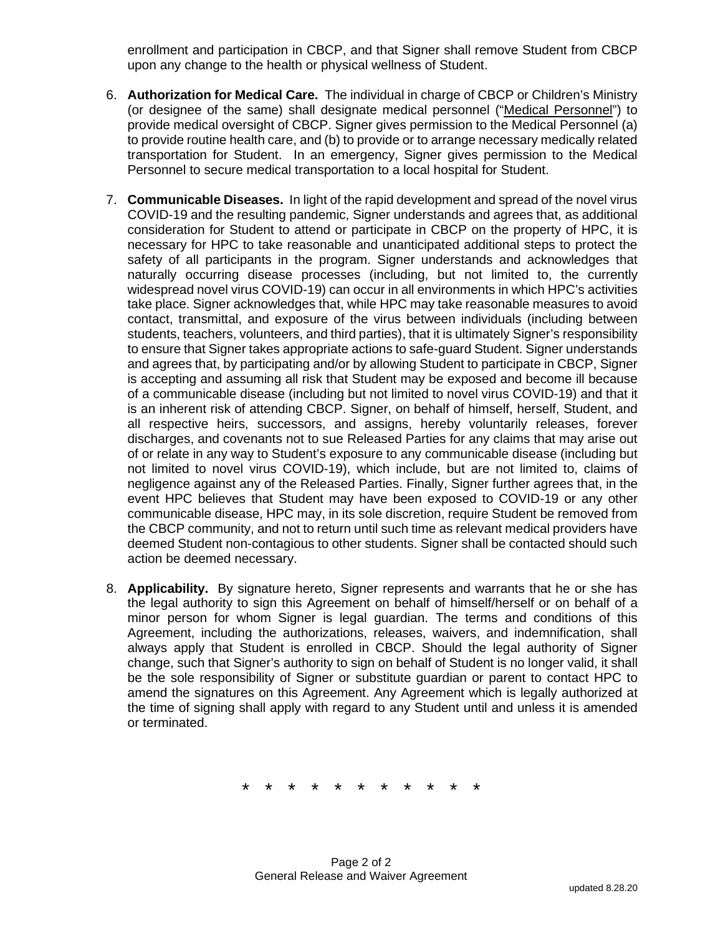enrollment and participation in CBCP, and that Signer shall remove Student from CBCP upon any change to the health or physical wellness of Student.

- 6. **Authorization for Medical Care.** The individual in charge of CBCP or Children's Ministry (or designee of the same) shall designate medical personnel ("Medical Personnel") to provide medical oversight of CBCP. Signer gives permission to the Medical Personnel (a) to provide routine health care, and (b) to provide or to arrange necessary medically related transportation for Student. In an emergency, Signer gives permission to the Medical Personnel to secure medical transportation to a local hospital for Student.
- 7. **Communicable Diseases.** In light of the rapid development and spread of the novel virus COVID-19 and the resulting pandemic, Signer understands and agrees that, as additional consideration for Student to attend or participate in CBCP on the property of HPC, it is necessary for HPC to take reasonable and unanticipated additional steps to protect the safety of all participants in the program. Signer understands and acknowledges that naturally occurring disease processes (including, but not limited to, the currently widespread novel virus COVID-19) can occur in all environments in which HPC's activities take place. Signer acknowledges that, while HPC may take reasonable measures to avoid contact, transmittal, and exposure of the virus between individuals (including between students, teachers, volunteers, and third parties), that it is ultimately Signer's responsibility to ensure that Signer takes appropriate actions to safe-guard Student. Signer understands and agrees that, by participating and/or by allowing Student to participate in CBCP, Signer is accepting and assuming all risk that Student may be exposed and become ill because of a communicable disease (including but not limited to novel virus COVID-19) and that it is an inherent risk of attending CBCP. Signer, on behalf of himself, herself, Student, and all respective heirs, successors, and assigns, hereby voluntarily releases, forever discharges, and covenants not to sue Released Parties for any claims that may arise out of or relate in any way to Student's exposure to any communicable disease (including but not limited to novel virus COVID-19), which include, but are not limited to, claims of negligence against any of the Released Parties. Finally, Signer further agrees that, in the event HPC believes that Student may have been exposed to COVID-19 or any other communicable disease, HPC may, in its sole discretion, require Student be removed from the CBCP community, and not to return until such time as relevant medical providers have deemed Student non-contagious to other students. Signer shall be contacted should such action be deemed necessary.
- 8. **Applicability.** By signature hereto, Signer represents and warrants that he or she has the legal authority to sign this Agreement on behalf of himself/herself or on behalf of a minor person for whom Signer is legal guardian. The terms and conditions of this Agreement, including the authorizations, releases, waivers, and indemnification, shall always apply that Student is enrolled in CBCP. Should the legal authority of Signer change, such that Signer's authority to sign on behalf of Student is no longer valid, it shall be the sole responsibility of Signer or substitute guardian or parent to contact HPC to amend the signatures on this Agreement. Any Agreement which is legally authorized at the time of signing shall apply with regard to any Student until and unless it is amended or terminated.

\* \* \* \* \* \* \* \* \* \* \*